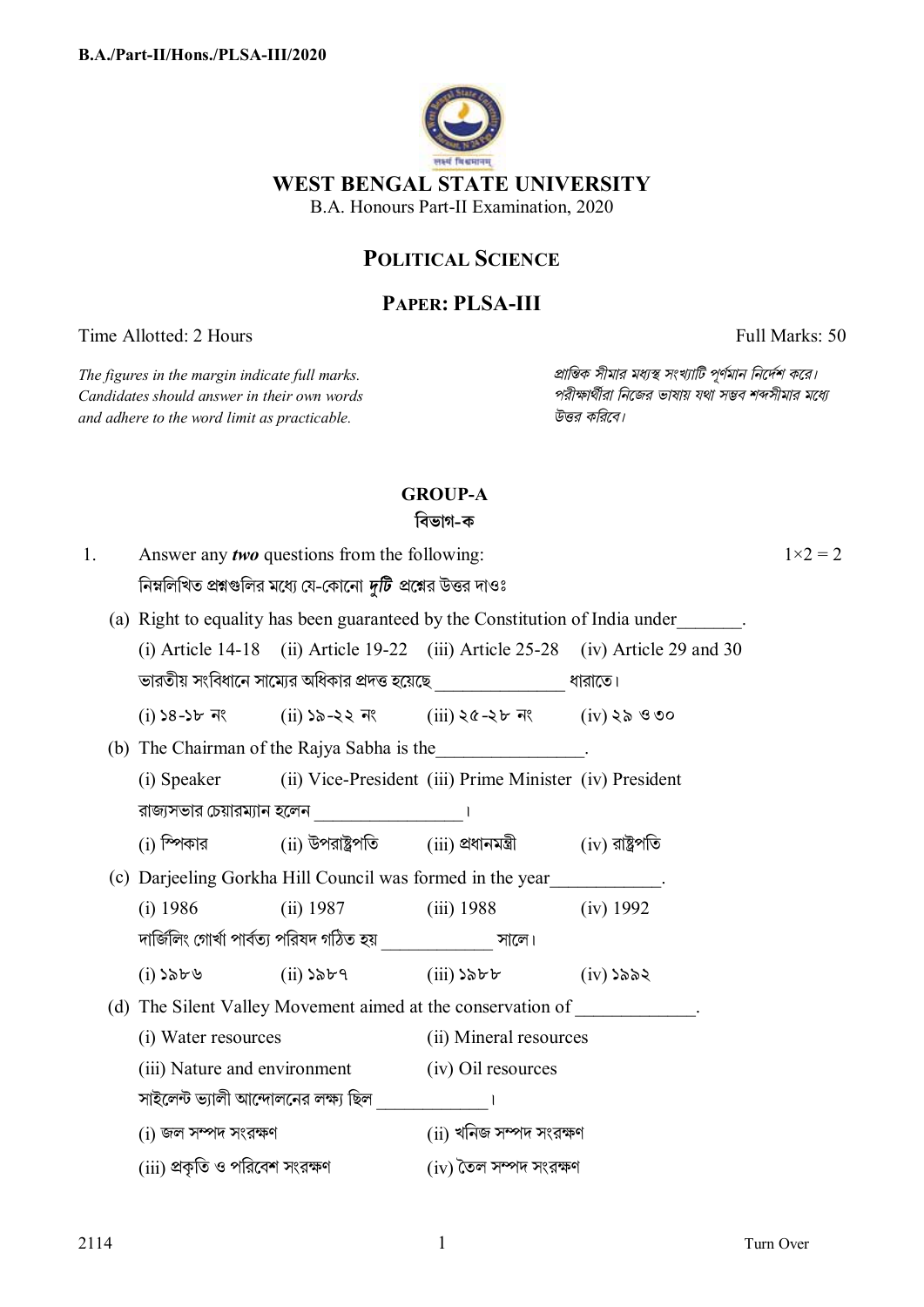

# **POLITICAL SCIENCE**

# **PAPER: PLSA-III**

Time Allotted: 2 Hours Full Marks: 50

*The figures in the margin indicate full marks. pািnক সীমার মধ°s সংখ°ািট পূণমান িনেদশ কের।*  $C$ *andidates should answer in their own words and adhere to the word limit as practicable. উtর কিরেব।*

## **GROUP-A**

**িবভাগ-ক**

| 1. |  | Answer any two questions from the following:                                 |                                                 | $1 \times 2 = 2$                                                                                                                   |                                                                                   |  |  |
|----|--|------------------------------------------------------------------------------|-------------------------------------------------|------------------------------------------------------------------------------------------------------------------------------------|-----------------------------------------------------------------------------------|--|--|
|    |  | নিম্নলিখিত প্রশ্নগুলির মধ্যে যে-কোনো <i>দুটি প্র</i> শ্নের উত্তর দাওঃ        |                                                 |                                                                                                                                    |                                                                                   |  |  |
|    |  | (a) Right to equality has been guaranteed by the Constitution of India under |                                                 |                                                                                                                                    |                                                                                   |  |  |
|    |  |                                                                              |                                                 |                                                                                                                                    | (i) Article 14-18 (ii) Article 19-22 (iii) Article $25-28$ (iv) Article 29 and 30 |  |  |
|    |  |                                                                              |                                                 | ভারতীয় সংবিধানে সাম্যের অধিকার প্রদত্ত হয়েছে <i>________________</i> __ ধারাতে।                                                  |                                                                                   |  |  |
|    |  |                                                                              |                                                 | $(i)$ $58-56$ $\overline{7}$ $\overline{8}$ $(i)$ $58-35$ $\overline{7}$ $\overline{8}$ $(i)$ $58-35$ $\overline{7}$ $(i)$ $58-90$ |                                                                                   |  |  |
|    |  | (b) The Chairman of the Rajya Sabha is the ________________.                 |                                                 |                                                                                                                                    |                                                                                   |  |  |
|    |  |                                                                              |                                                 | (i) Speaker (ii) Vice-President (iii) Prime Minister (iv) President                                                                |                                                                                   |  |  |
|    |  |                                                                              | রাজ্যসভার চেয়ারম্যান হলেন $\frac{\sqrt{2}}{2}$ |                                                                                                                                    |                                                                                   |  |  |
|    |  |                                                                              |                                                 | $(i)$ স্পিকার $(ii)$ উপরাষ্ট্রপতি $(iii)$ প্রধানমন্ত্রী $(iv)$ রাষ্ট্রপতি                                                          |                                                                                   |  |  |
|    |  | (c) Darjeeling Gorkha Hill Council was formed in the year____________.       |                                                 |                                                                                                                                    |                                                                                   |  |  |
|    |  | $(i)$ 1986                                                                   |                                                 | (ii) 1987 (iii) 1988 (iv) 1992                                                                                                     |                                                                                   |  |  |
|    |  | দার্জিলিং গোর্খা পার্বত্য পরিষদ গঠিত হয় ______________ সালে।                |                                                 |                                                                                                                                    |                                                                                   |  |  |
|    |  |                                                                              |                                                 | $(i)$ $\delta \delta \mathbf{v}$ $(ii)$ $(iii)$ $(iii)$ $(iiii)$ $(iiv)$ $(iiv)$                                                   |                                                                                   |  |  |
|    |  | (d) The Silent Valley Movement aimed at the conservation of ____________.    |                                                 |                                                                                                                                    |                                                                                   |  |  |
|    |  | (i) Water resources                                                          |                                                 | (ii) Mineral resources                                                                                                             |                                                                                   |  |  |
|    |  | (iii) Nature and environment (iv) Oil resources                              |                                                 |                                                                                                                                    |                                                                                   |  |  |
|    |  | সাইলেন্ট ভ্যালী আন্দোলনের লক্ষ্য ছিল _______________।                        |                                                 |                                                                                                                                    |                                                                                   |  |  |
|    |  | $(i)$ জল সম্পদ সংরক্ষণ                                                       |                                                 | (ii) খনিজ সম্পদ সংরক্ষণ                                                                                                            |                                                                                   |  |  |
|    |  | (iii) প্রকৃতি ও পরিবেশ সংরক্ষণ                                               |                                                 | (iv) তৈল সম্পদ সংরক্ষণ                                                                                                             |                                                                                   |  |  |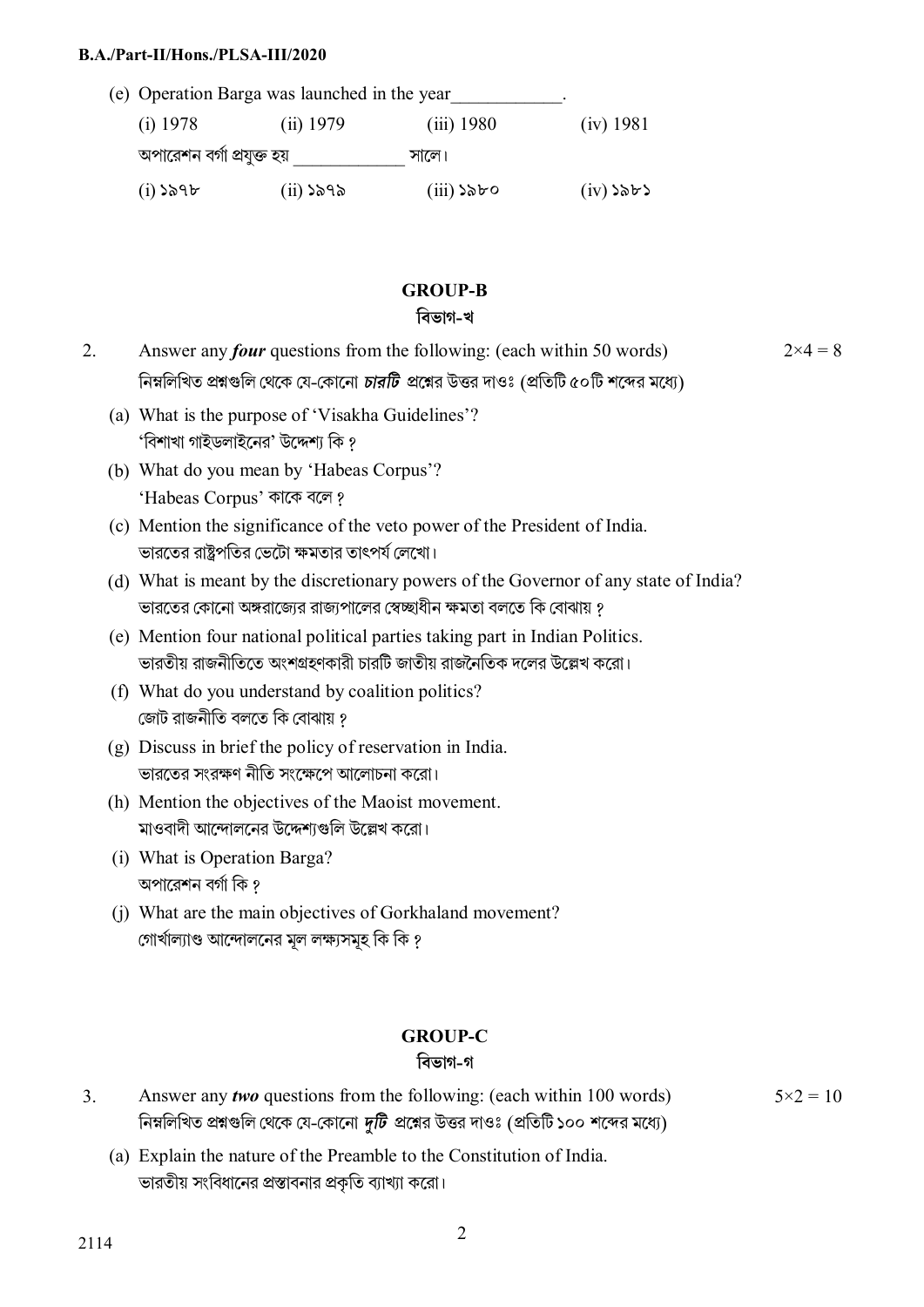#### **B.A./Part-II/Hons./PLSA-III/2020**

|                            | (e) Operation Barga was launched in the year |              |             |  |  |  |
|----------------------------|----------------------------------------------|--------------|-------------|--|--|--|
| $(i)$ 1978                 | $(ii)$ 1979                                  | $(iii)$ 1980 | (iv) 1981   |  |  |  |
| অপারেশন বর্গা প্রযুক্ত হয় |                                              | সালে।        |             |  |  |  |
| $(i)$ ১৯৭৮                 | $(ii)$ ১৯৭৯                                  | $(iii)$ ১৯৮০ | $(iv)$ ১৯৮১ |  |  |  |

### **GROUP-B**

#### **িবভাগ-খ**

- 2. Answer any *four* questions from the following: (each within 50 words) নিম্নলিখিত প্রশ্নগুলি থেকে যে-কোনো *চারটি প্র*শ্নের উত্তর দাওঃ (প্রতিটি ৫০টি শব্দের মধ্যে)
	- (a) What is the purpose of 'Visakha Guidelines'? 'বিশাখা গাইডলাইনের' উদ্দেশ্য কি ?
	- (b) What do you mean by 'Habeas Corpus'? 'Habeas Corpus' কাকে বলে ?
	- (c) Mention the significance of the veto power of the President of India. ভারতের রাষ্ট্রপতির ভেটো ক্ষমতার তাৎপর্য লেখাে।
	- (d) What is meant by the discretionary powers of the Governor of any state of India? ভারতের কােনাে অঙ্গরাজ্যের রাজ্যপালের স্বেচ্ছাধীন ক্ষমতা বলতে কি বােঝায় ?
	- (e) Mention four national political parties taking part in Indian Politics. ভারতীয় রাজনীতিতে অংশগ্রহণকারী চারটি জাতীয় রাজনৈতিক দলের উল্লেখ করো।
	- (f) What do you understand by coalition politics? জোট রাজনীতি বলতে কি বোঝায় ?
	- (g) Discuss in brief the policy of reservation in India. ভারতের সংরক্ষণ নীতি সংক্ষেপে আলোচনা করো।
	- (h) Mention the objectives of the Maoist movement. মাওবাদী আন্দোলনের উদ্দেশ্যগুলি উল্লেখ করো।
	- (i) What is Operation Barga? অপারেশন বর্গা কি ?
	- (j) What are the main objectives of Gorkhaland movement? গোৰ্খাল্যাণ্ড আন্দোলনের মূল লক্ষ্যসমূহ কি কি ?

## **GROUP-C**

#### **িবভাগ-গ**

- 3. Answer any *two* questions from the following: (each within 100 words) নিম্নলিখিত প্রশ্নগুলি থেকে যে-কোনো *দুটি প্র*শ্নের উত্তর দাওঃ (প্রতিটি ১০০ শব্দের মধ্যে)
	- (a) Explain the nature of the Preamble to the Constitution of India. ভারতীয় সংবিধানের প্রস্তাবনার প্রকৃতি ব্যাখ্যা করো।

 $5 \times 2 = 10$